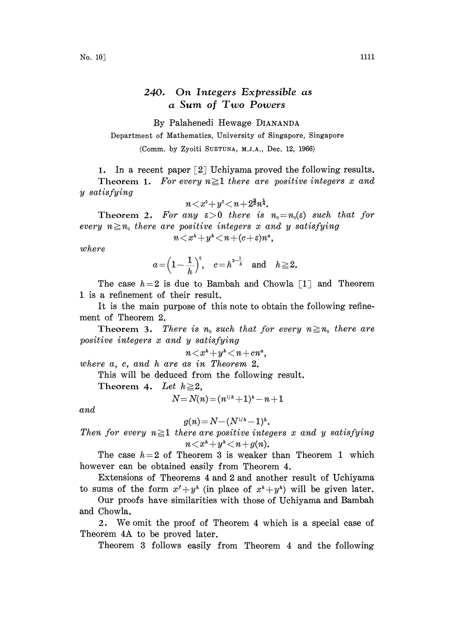## 240. On Integers Expressible as a Sum of Two Powers

By Palahenedi Hewage DIANANDA

Department of Mathematics, University of Singapore, Singapore

(Comm. by Zyoiti SUETUNA, M.J.A., Dec. 12, 1966)

1. In a recent paper  $\lceil 2 \rceil$  Uchiyama proved the following results.

Theorem 1. For every  $n \geq 1$  there are positive integers x and y satisfying

$$
n\!<\!x^{\rm a}\!+\!y^{\rm a}\!<\!n\!+\!2^{\!3\!}n^{\!4\!}.
$$

Theorem 2. For any  $\varepsilon > 0$  there is  $n_0 = n_0(\varepsilon)$  such that for every  $n \geq n_0$  there are positive integers x and y satisfying

 $n < x<sup>h</sup> + y<sup>h</sup> < n+(c+\varepsilon)n<sup>a</sup>$ .

where

$$
a=\left(1-\frac{1}{h}\right)^{\alpha}, \quad c=h^{2-\frac{1}{h}} \quad \text{and} \quad h\geqq 2.
$$

The case  $h=2$  is due to Bambah and Chowla [1] and Theorem 1 is a refinement of their result.

It is the main purpose of this note to obtain the following refinement of Theorem 2.

**Theorem 3.** There is  $n_0$  such that for every  $n \geq n_0$  there are positive integers x and y satisfying

$$
n\!<\!x^{\scriptscriptstyle h}\!+\!y^{\scriptscriptstyle h}\!<\!n\!+\!cn^{\scriptscriptstyle a},
$$

where a, c, and h are as in Theorem 2.

This will be deduced from the following result.

Theorem 4. Let  $h \geq 2$ ,

$$
N = N(n) = (n^{1/h} + 1)^h - n + 1
$$

and

$$
g(n) = N - (N^{1/h} - 1)^h.
$$

Then for every  $n \geq 1$  there are positive integers x and y satisfying  $n < x<sup>h</sup> + y<sup>h</sup> < n+ g(n).$ 

The case  $h=2$  of Theorem 3 is weaker than Theorem 1 which however can be obtained easily from Theorem 4.

Extensions of Theorems 4 and 2 and another result of Uchiyama to sums of the form  $x^j + y^k$  (in place of  $x^k + y^k$ ) will be given later.

Our proofs have similarities with those of Uchiyama and Bambah and Chowla.

2. We omit the proof of Theorem <sup>4</sup> which is <sup>a</sup> special case of Theorem 4A to be proved later.

Theorem 3 follows easily from Theorem 4 and the following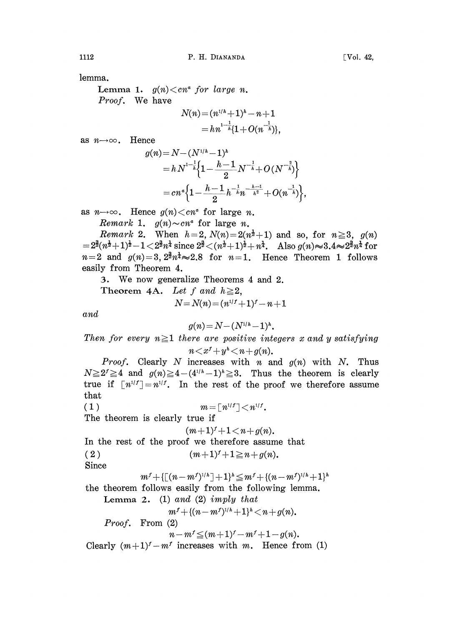lemma.

Lemma 1.  $g(n) < cn^a$  for large n. Proof. We have

$$
N(n)\!=\!(n^{1/h}\!+\!1)^h\!-\!n\!+\!1\\=hn^{1-\!{1\over h}}\!\{1\!+\!O(n^{-1\over h})\},
$$

as  $n \rightarrow \infty$ . Hence

$$
\begin{aligned} g(n)\!=\!N\!-\!(N^{1/h}\!-\!1)^h \\ =&\,h\,N^{1-\!\frac{1}{h}}\!\!\left\{1\!-\!\frac{h\!-\!1}{2}N^{-\!\frac{1}{h}}\!+\!O(N^{-\!\frac{2}{h}})\!\right\} \\ =& cn^a\!\Big\{1\!-\!\frac{h\!-\!1}{2}h^{-\!\frac{h\!-\!1}{h}}\!n^{-\!\frac{h\!-\!1}{h^2}}\!+\!O(n^{-\!\frac{1}{h}})\!\Big\}, \end{aligned}
$$

as  $n \rightarrow \infty$ . Hence  $g(n) < cn^a$  for large n.

Remark 1.  $g(n) \sim cn^a$  for large n.

*Remark* 2. When  $h=2$ ,  $N(n)=2(n^{\frac{1}{2}}+1)$  and so, for  $n\geq 3$ ,  $q(n)$  $=2^{\frac{3}{2}}(n^{\frac{1}{2}}+1)^{\frac{1}{2}}-1\leq 2^{\frac{3}{2}}n^{\frac{1}{4}}$  since  $2^{\frac{3}{2}}<(n^{\frac{1}{2}}+1)^{\frac{1}{2}}+n^{\frac{1}{4}}$ . Also  $g(n)\approx 3.4\approx 2^{\frac{3}{2}}n^{\frac{1}{4}}$  for  $n=2$  and  $g(n)=3$ ,  $2^{\frac{3}{2}}n^{\frac{1}{4}} \approx 2.8$  for  $n=1$ . Hence Theorem 1 follows easily from Theorem 4.

. We now generalize Theorems <sup>4</sup> and 2.

Theorem 4A. Let f and  $h \geq 2$ ,

$$
N = N(n) = (n^{1/f} + 1)^f - n + 1
$$

and

$$
g(n) = N - (N^{1/h} - 1)^h.
$$

Then for every  $n \geq 1$  there are positive integers x and y satisfying  $n < x<sup>f</sup> + y<sup>h</sup> < n + q(n)$ .

$$
W \leq w + y \leq w + y(n),
$$
  
 
$$
W \text{ increases with } n \text{ and } a(n)
$$

*Proof.* Clearly  $N$  increases with  $n$  and  $g(n)$  with  $N$ . Thus  $N\geq 2^r\geq 4$  and  $g(n)\geq 4-(4^{1/h}-1)^k\geq 3$ . Thus the theorem is clearly true if  $[n^{1/f}]=n^{1/f}$ . In the rest of the proof we therefore assume that

( 1 )  $m = [n^{1/f}] < n^{1/f}$ .

The theorem is clearly true if

$$
(m+1)^f\!+\!1\!<\! n\!+\!g(n).
$$

In the rest of the proof we therefore assume that

(2) 
$$
(m+1)^{r}+1\geq n+g(n).
$$
 Since

 $m^f + \{[(n-m^f)^{1/h}] + 1\}^h \leq m^f + \{(n-m^f)^{1/h} + 1\}^h$ 

the theorem follows easily from the following lemma.

Lemma 2. (1) and (2) imply that

$$
m^f+\{(n-m^f)^{1/h}+1\}^h < n+g(n).
$$

Proof. From (2)

$$
n-m^f\leq (m+1)^f-m^f+1-g(n).
$$

Clearly  $(m+1)^f - m^f$  increases with m. Hence from (1)